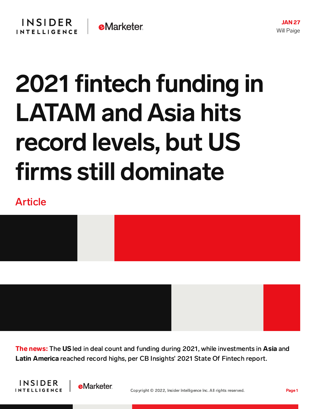## 2021 fintech funding in LATAM and Asia hits record levels, but US firms still dominate

## Article



The news: The US led in deal count and funding during 2021, while investments in Asia and Latin America reached record highs, per CB Insights' 2021 State Of Fintech report.



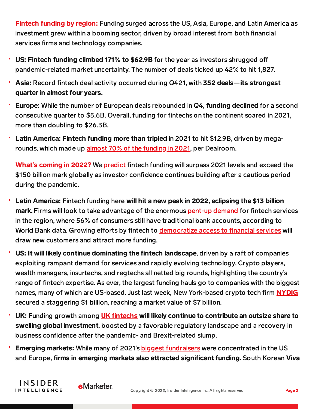Fintech funding by region: Funding surged across the US, Asia, Europe, and Latin America as investment grew within a booming sector, driven by broad interest from both financial services firms and technology companies.

- US: Fintech funding climbed 171% to \$62.9B for the year as investors shrugged off pandemic-related market uncertainty. The number of deals ticked up 42% to hit 1,827.
- Asia: Record fintech deal activity occurred during Q421, with 352 deals—its strongest quarter in almost four years.
- Europe: While the number of European deals rebounded in Q4, funding declined for a second consecutive quarter to \$5.6B. Overall, funding for fintechs on the continent soared in 2021, more than doubling to \$26.3B.
- Latin America: Fintech funding more than tripled in 2021 to hit \$12.9B, driven by megarounds, which made up almost 70% of the [funding](https://app.dealroom.co/transactions.rounds/f/growth_stages/not_mature/industries/anyof_fintech/regions/anyof_Latin%20America/rounds/not_GRANT_SPAC%20PRIVATE%20PLACEMENT/slug_locations/not_~antigua_and_barbuda~_~cayman_islands~/tags/not_outside%20tech/years/anyof_2021?showPercentage=true&showStats=YEAR&sort=-amount&statsType=rounds) in 2021, per Dealroom.

What**'**s coming in 2022? We [predict](https://content-na1.emarketer.com/insider-intelligence-fintech-trends-watch-2022) fintech funding will surpass 2021 levels and exceed the \$150 billion mark globally as investor confidence continues building after a cautious period during the pandemic.

- Latin America: Fintech funding here will hit a new peak in 2022, eclipsing the \$13 billion mark. Firms will look to take advantage of the enormous [pent-up](https://content-na1.emarketer.com/why-fintech-investment-latam-more-than-tripled-over-past-year) demand for fintech services in the region, where 56% of consumers still have traditional bank accounts, according to World Bank data. Growing efforts by fintech to [democratize](https://content-na1.emarketer.com/insider-intelligence-latin-america-trends-watch-2022) access to financial services will draw new customers and attract more funding.
- US: It will likely continue dominating the fintech landscape, driven by a raft of companies exploiting rampant demand for services and rapidly evolving technology. Crypto players, wealth managers, insurtechs, and regtechs all netted big rounds, highlighting the country's range of fintech expertise. As ever, the largest funding hauls go to companies with the biggest names, many of which are US-based. Just last week, New York-based crypto tech firm **[NYDIG](https://content-na1.emarketer.com/nydig-cool-1b-raise-indicates-investors-believe-bitcoin-mainstream)** secured a staggering \$1 billion, reaching a market value of \$7 billion.
- UK: Funding growth among UK fi[ntechs](https://content-na1.emarketer.com/uk-fintechs-smashed-funding-records-2021-why-they-ll-do-again-this-year) will likely continue to contribute an outsize share to swelling global investment, boosted by a favorable regulatory landscape and a recovery in business confidence after the pandemic- and Brexit-related slump.
- ٠ Emerging markets: While many of 2021's biggest [fundraisers](https://content-na1.emarketer.com/biggest-funding-rounds-covered-this-year-and-what-they-tell-us-6) were concentrated in the US and Europe, firms in emerging markets also attracted significant funding. South Korean Viva

**INSIDER** 

**INTELLIGENCE** 

**eMarketer**